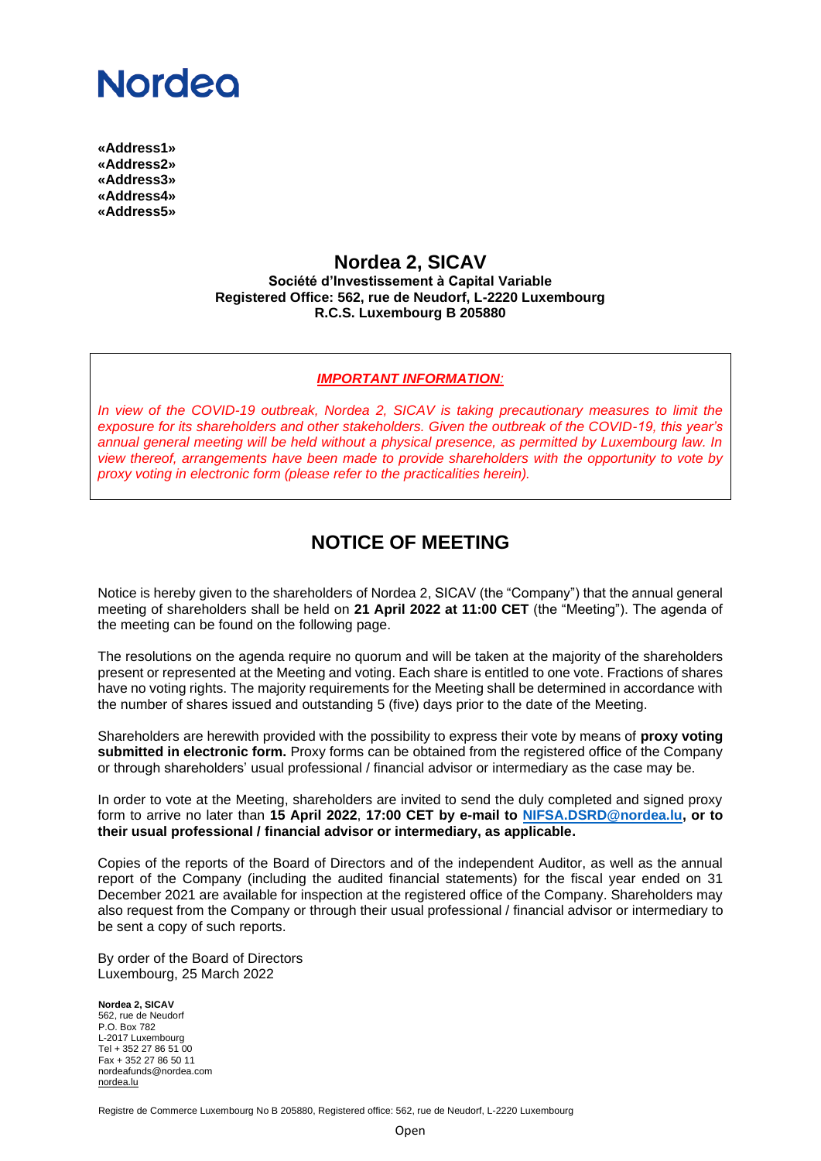# **Nordeo**

**«Address1» «Address2» «Address3» «Address4» «Address5»**

### **Nordea 2, SICAV**

**Société d'Investissement à Capital Variable Registered Office: 562, rue de Neudorf, L-2220 Luxembourg R.C.S. Luxembourg B 205880**

#### *IMPORTANT INFORMATION:*

*In view of the COVID-19 outbreak, Nordea 2, SICAV is taking precautionary measures to limit the exposure for its shareholders and other stakeholders. Given the outbreak of the COVID-19, this year's annual general meeting will be held without a physical presence, as permitted by Luxembourg law. In view thereof, arrangements have been made to provide shareholders with the opportunity to vote by proxy voting in electronic form (please refer to the practicalities herein).*

## **NOTICE OF MEETING**

Notice is hereby given to the shareholders of Nordea 2, SICAV (the "Company") that the annual general meeting of shareholders shall be held on **21 April 2022 at 11:00 CET** (the "Meeting"). The agenda of the meeting can be found on the following page.

The resolutions on the agenda require no quorum and will be taken at the majority of the shareholders present or represented at the Meeting and voting. Each share is entitled to one vote. Fractions of shares have no voting rights. The majority requirements for the Meeting shall be determined in accordance with the number of shares issued and outstanding 5 (five) days prior to the date of the Meeting.

Shareholders are herewith provided with the possibility to express their vote by means of **proxy voting submitted in electronic form.** Proxy forms can be obtained from the registered office of the Company or through shareholders' usual professional / financial advisor or intermediary as the case may be.

In order to vote at the Meeting, shareholders are invited to send the duly completed and signed proxy form to arrive no later than **15 April 2022**, **17:00 CET by e-mail to [NIFSA.DSRD@nordea.lu,](mailto:NIFSA.DSRD@nordea.lu) or to their usual professional / financial advisor or intermediary, as applicable.**

Copies of the reports of the Board of Directors and of the independent Auditor, as well as the annual report of the Company (including the audited financial statements) for the fiscal year ended on 31 December 2021 are available for inspection at the registered office of the Company. Shareholders may also request from the Company or through their usual professional / financial advisor or intermediary to be sent a copy of such reports.

By order of the Board of Directors Luxembourg, 25 March 2022

**Nordea 2, SICAV** 562, rue de Neudorf P.O. Box 782 L-2017 Luxembourg Tel + 352 27 86 51 00 Fax + 352 27 86 50 11 nordeafunds@nordea.com [nordea.lu](http://www.nordea.lu/)

Registre de Commerce Luxembourg No B 205880, Registered office: 562, rue de Neudorf, L-2220 Luxembourg